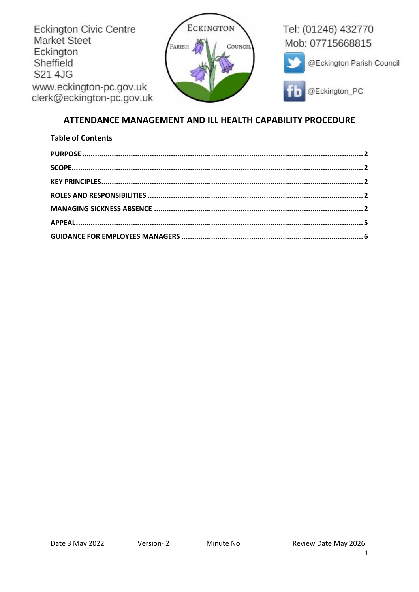

# ATTENDANCE MANAGEMENT AND ILL HEALTH CAPABILITY PROCEDURE

| <b>Table of Contents</b> |  |
|--------------------------|--|
|                          |  |
|                          |  |
|                          |  |
|                          |  |
|                          |  |
|                          |  |
|                          |  |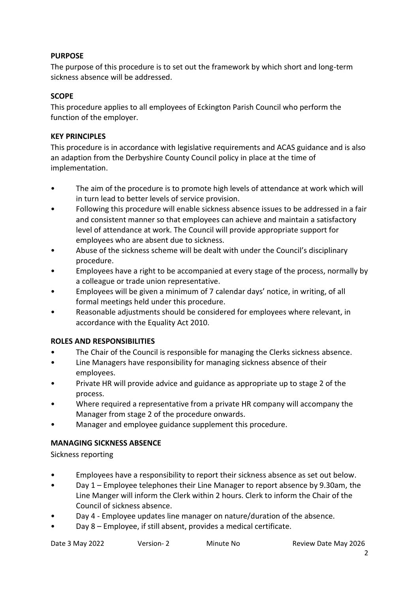## <span id="page-1-0"></span>**PURPOSE**

The purpose of this procedure is to set out the framework by which short and long-term sickness absence will be addressed.

#### <span id="page-1-1"></span>**SCOPE**

This procedure applies to all employees of Eckington Parish Council who perform the function of the employer.

### <span id="page-1-2"></span>**KEY PRINCIPLES**

This procedure is in accordance with legislative requirements and ACAS guidance and is also an adaption from the Derbyshire County Council policy in place at the time of implementation.

- The aim of the procedure is to promote high levels of attendance at work which will in turn lead to better levels of service provision.
- Following this procedure will enable sickness absence issues to be addressed in a fair and consistent manner so that employees can achieve and maintain a satisfactory level of attendance at work. The Council will provide appropriate support for employees who are absent due to sickness.
- Abuse of the sickness scheme will be dealt with under the Council's disciplinary procedure.
- Employees have a right to be accompanied at every stage of the process, normally by a colleague or trade union representative.
- Employees will be given a minimum of 7 calendar days' notice, in writing, of all formal meetings held under this procedure.
- Reasonable adjustments should be considered for employees where relevant, in accordance with the Equality Act 2010.

#### <span id="page-1-3"></span>**ROLES AND RESPONSIBILITIES**

- The Chair of the Council is responsible for managing the Clerks sickness absence.
- Line Managers have responsibility for managing sickness absence of their employees.
- Private HR will provide advice and guidance as appropriate up to stage 2 of the process.
- Where required a representative from a private HR company will accompany the Manager from stage 2 of the procedure onwards.
- Manager and employee guidance supplement this procedure.

#### <span id="page-1-4"></span>**MANAGING SICKNESS ABSENCE**

Sickness reporting

- Employees have a responsibility to report their sickness absence as set out below.
- Day 1 Employee telephones their Line Manager to report absence by 9.30am, the Line Manger will inform the Clerk within 2 hours. Clerk to inform the Chair of the Council of sickness absence.
- Day 4 Employee updates line manager on nature/duration of the absence.
- Day 8 Employee, if still absent, provides a medical certificate.

| Date 3 May 2022 | Version- 2 | Minute No | Review Date May 2026 |
|-----------------|------------|-----------|----------------------|
|                 |            |           |                      |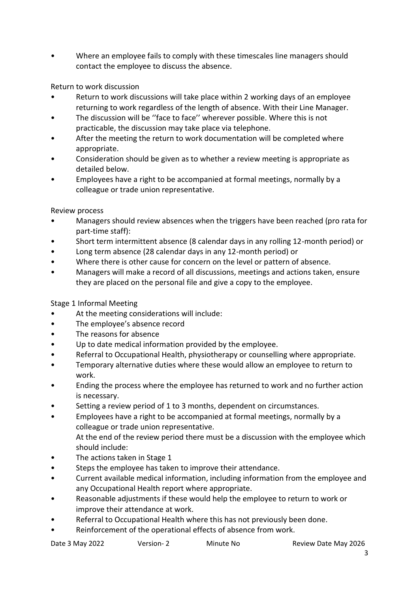• Where an employee fails to comply with these timescales line managers should contact the employee to discuss the absence.

Return to work discussion

- Return to work discussions will take place within 2 working days of an employee returning to work regardless of the length of absence. With their Line Manager.
- The discussion will be ''face to face'' wherever possible. Where this is not practicable, the discussion may take place via telephone.
- After the meeting the return to work documentation will be completed where appropriate.
- Consideration should be given as to whether a review meeting is appropriate as detailed below.
- Employees have a right to be accompanied at formal meetings, normally by a colleague or trade union representative.

## Review process

- Managers should review absences when the triggers have been reached (pro rata for part-time staff):
- Short term intermittent absence (8 calendar days in any rolling 12-month period) or
- Long term absence (28 calendar days in any 12-month period) or
- Where there is other cause for concern on the level or pattern of absence.
- Managers will make a record of all discussions, meetings and actions taken, ensure they are placed on the personal file and give a copy to the employee.

#### Stage 1 Informal Meeting

- At the meeting considerations will include:
- The employee's absence record
- The reasons for absence
- Up to date medical information provided by the employee.
- Referral to Occupational Health, physiotherapy or counselling where appropriate.
- Temporary alternative duties where these would allow an employee to return to work.
- Ending the process where the employee has returned to work and no further action is necessary.
- Setting a review period of 1 to 3 months, dependent on circumstances.
- Employees have a right to be accompanied at formal meetings, normally by a colleague or trade union representative. At the end of the review period there must be a discussion with the employee which should include:
- The actions taken in Stage 1
- Steps the employee has taken to improve their attendance.
- Current available medical information, including information from the employee and any Occupational Health report where appropriate.
- Reasonable adjustments if these would help the employee to return to work or improve their attendance at work.
- Referral to Occupational Health where this has not previously been done.
- Reinforcement of the operational effects of absence from work.

| Review Date May 2026<br>Date 3 May 2022<br>Version- 2<br>Minute No |  |
|--------------------------------------------------------------------|--|
|--------------------------------------------------------------------|--|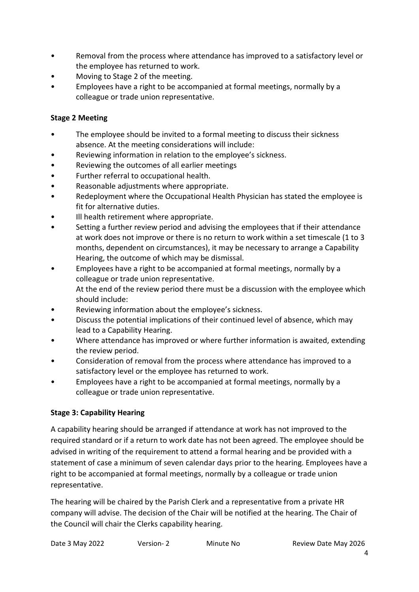- Removal from the process where attendance has improved to a satisfactory level or the employee has returned to work.
- Moving to Stage 2 of the meeting.
- Employees have a right to be accompanied at formal meetings, normally by a colleague or trade union representative.

# **Stage 2 Meeting**

- The employee should be invited to a formal meeting to discuss their sickness absence. At the meeting considerations will include:
- Reviewing information in relation to the employee's sickness.
- Reviewing the outcomes of all earlier meetings
- Further referral to occupational health.
- Reasonable adjustments where appropriate.
- Redeployment where the Occupational Health Physician has stated the employee is fit for alternative duties.
- Ill health retirement where appropriate.
- Setting a further review period and advising the employees that if their attendance at work does not improve or there is no return to work within a set timescale (1 to 3 months, dependent on circumstances), it may be necessary to arrange a Capability Hearing, the outcome of which may be dismissal.
- Employees have a right to be accompanied at formal meetings, normally by a colleague or trade union representative. At the end of the review period there must be a discussion with the employee which should include:
- Reviewing information about the employee's sickness.
- Discuss the potential implications of their continued level of absence, which may lead to a Capability Hearing.
- Where attendance has improved or where further information is awaited, extending the review period.
- Consideration of removal from the process where attendance has improved to a satisfactory level or the employee has returned to work.
- Employees have a right to be accompanied at formal meetings, normally by a colleague or trade union representative.

# **Stage 3: Capability Hearing**

A capability hearing should be arranged if attendance at work has not improved to the required standard or if a return to work date has not been agreed. The employee should be advised in writing of the requirement to attend a formal hearing and be provided with a statement of case a minimum of seven calendar days prior to the hearing. Employees have a right to be accompanied at formal meetings, normally by a colleague or trade union representative.

The hearing will be chaired by the Parish Clerk and a representative from a private HR company will advise. The decision of the Chair will be notified at the hearing. The Chair of the Council will chair the Clerks capability hearing.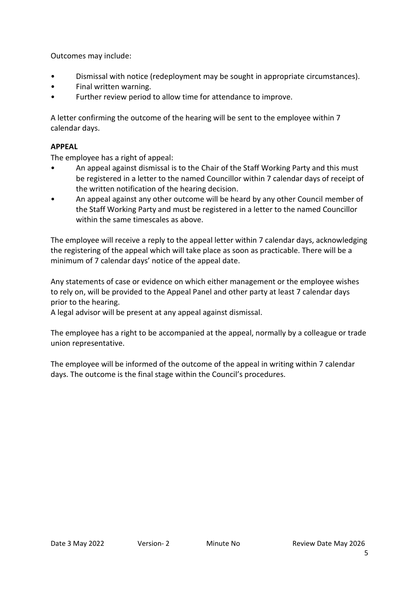Outcomes may include:

- Dismissal with notice (redeployment may be sought in appropriate circumstances).
- Final written warning.
- Further review period to allow time for attendance to improve.

A letter confirming the outcome of the hearing will be sent to the employee within 7 calendar days.

#### <span id="page-4-0"></span>**APPEAL**

The employee has a right of appeal:

- An appeal against dismissal is to the Chair of the Staff Working Party and this must be registered in a letter to the named Councillor within 7 calendar days of receipt of the written notification of the hearing decision.
- An appeal against any other outcome will be heard by any other Council member of the Staff Working Party and must be registered in a letter to the named Councillor within the same timescales as above.

The employee will receive a reply to the appeal letter within 7 calendar days, acknowledging the registering of the appeal which will take place as soon as practicable. There will be a minimum of 7 calendar days' notice of the appeal date.

Any statements of case or evidence on which either management or the employee wishes to rely on, will be provided to the Appeal Panel and other party at least 7 calendar days prior to the hearing.

A legal advisor will be present at any appeal against dismissal.

The employee has a right to be accompanied at the appeal, normally by a colleague or trade union representative.

The employee will be informed of the outcome of the appeal in writing within 7 calendar days. The outcome is the final stage within the Council's procedures.